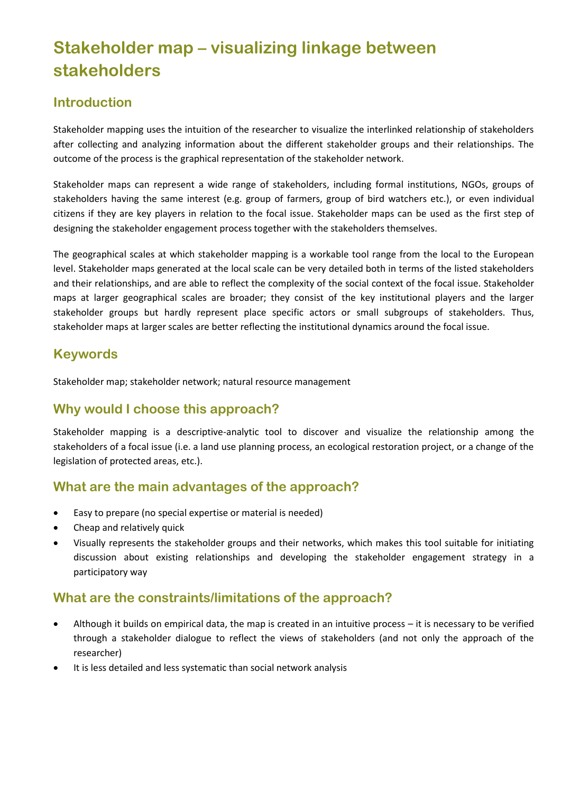# **Stakeholder map – visualizing linkage between stakeholders**

# **Introduction**

Stakeholder mapping uses the intuition of the researcher to visualize the interlinked relationship of stakeholders after collecting and analyzing information about the different stakeholder groups and their relationships. The outcome of the process is the graphical representation of the stakeholder network.

Stakeholder maps can represent a wide range of stakeholders, including formal institutions, NGOs, groups of stakeholders having the same interest (e.g. group of farmers, group of bird watchers etc.), or even individual citizens if they are key players in relation to the focal issue. Stakeholder maps can be used as the first step of designing the stakeholder engagement process together with the stakeholders themselves.

The geographical scales at which stakeholder mapping is a workable tool range from the local to the European level. Stakeholder maps generated at the local scale can be very detailed both in terms of the listed stakeholders and their relationships, and are able to reflect the complexity of the social context of the focal issue. Stakeholder maps at larger geographical scales are broader; they consist of the key institutional players and the larger stakeholder groups but hardly represent place specific actors or small subgroups of stakeholders. Thus, stakeholder maps at larger scales are better reflecting the institutional dynamics around the focal issue.

### **Keywords**

Stakeholder map; stakeholder network; natural resource management

# **Why would I choose this approach?**

Stakeholder mapping is a descriptive-analytic tool to discover and visualize the relationship among the stakeholders of a focal issue (i.e. a land use planning process, an ecological restoration project, or a change of the legislation of protected areas, etc.).

### **What are the main advantages of the approach?**

- Easy to prepare (no special expertise or material is needed)
- Cheap and relatively quick
- Visually represents the stakeholder groups and their networks, which makes this tool suitable for initiating discussion about existing relationships and developing the stakeholder engagement strategy in a participatory way

# **What are the constraints/limitations of the approach?**

- Although it builds on empirical data, the map is created in an intuitive process it is necessary to be verified through a stakeholder dialogue to reflect the views of stakeholders (and not only the approach of the researcher)
- It is less detailed and less systematic than social network analysis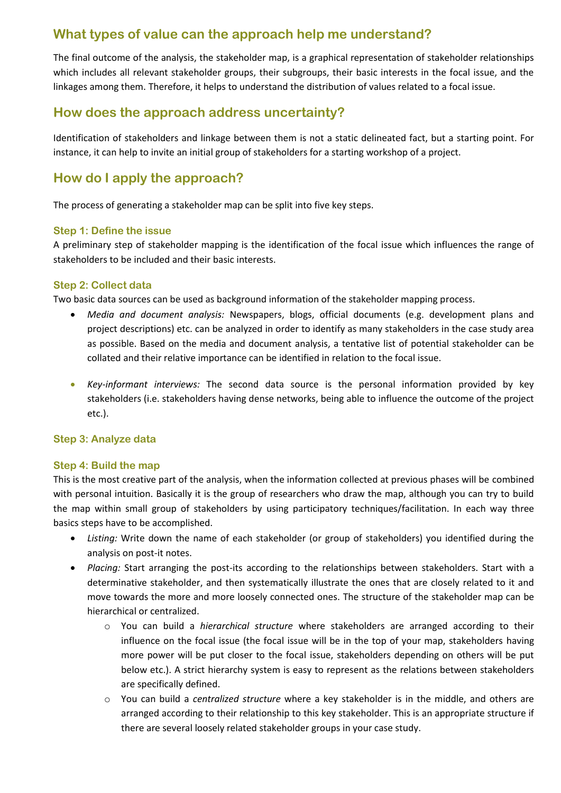# **What types of value can the approach help me understand?**

The final outcome of the analysis, the stakeholder map, is a graphical representation of stakeholder relationships which includes all relevant stakeholder groups, their subgroups, their basic interests in the focal issue, and the linkages among them. Therefore, it helps to understand the distribution of values related to a focal issue.

### **How does the approach address uncertainty?**

Identification of stakeholders and linkage between them is not a static delineated fact, but a starting point. For instance, it can help to invite an initial group of stakeholders for a starting workshop of a project.

# **How do I apply the approach?**

The process of generating a stakeholder map can be split into five key steps.

#### **Step 1: Define the issue**

A preliminary step of stakeholder mapping is the identification of the focal issue which influences the range of stakeholders to be included and their basic interests.

### **Step 2: Collect data**

Two basic data sources can be used as background information of the stakeholder mapping process.

- *Media and document analysis:* Newspapers, blogs, official documents (e.g. development plans and project descriptions) etc. can be analyzed in order to identify as many stakeholders in the case study area as possible. Based on the media and document analysis, a tentative list of potential stakeholder can be collated and their relative importance can be identified in relation to the focal issue.
- *Key-informant interviews:* The second data source is the personal information provided by key stakeholders (i.e. stakeholders having dense networks, being able to influence the outcome of the project etc.).

#### **Step 3: Analyze data**

#### **Step 4: Build the map**

This is the most creative part of the analysis, when the information collected at previous phases will be combined with personal intuition. Basically it is the group of researchers who draw the map, although you can try to build the map within small group of stakeholders by using participatory techniques/facilitation. In each way three basics steps have to be accomplished.

- *Listing:* Write down the name of each stakeholder (or group of stakeholders) you identified during the analysis on post-it notes.
- *Placing:* Start arranging the post-its according to the relationships between stakeholders. Start with a determinative stakeholder, and then systematically illustrate the ones that are closely related to it and move towards the more and more loosely connected ones. The structure of the stakeholder map can be hierarchical or centralized.
	- o You can build a *hierarchical structure* where stakeholders are arranged according to their influence on the focal issue (the focal issue will be in the top of your map, stakeholders having more power will be put closer to the focal issue, stakeholders depending on others will be put below etc.). A strict hierarchy system is easy to represent as the relations between stakeholders are specifically defined.
	- o You can build a *centralized structure* where a key stakeholder is in the middle, and others are arranged according to their relationship to this key stakeholder. This is an appropriate structure if there are several loosely related stakeholder groups in your case study.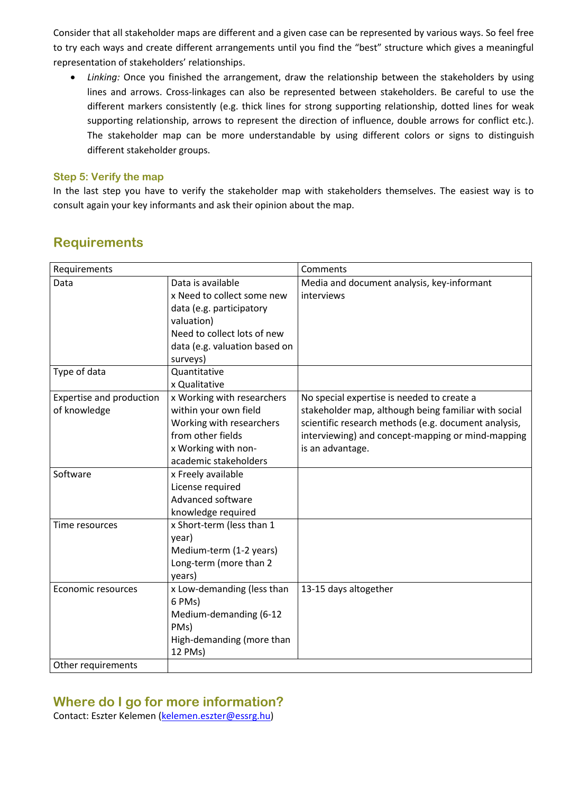Consider that all stakeholder maps are different and a given case can be represented by various ways. So feel free to try each ways and create different arrangements until you find the "best" structure which gives a meaningful representation of stakeholders' relationships.

 *Linking:* Once you finished the arrangement, draw the relationship between the stakeholders by using lines and arrows. Cross-linkages can also be represented between stakeholders. Be careful to use the different markers consistently (e.g. thick lines for strong supporting relationship, dotted lines for weak supporting relationship, arrows to represent the direction of influence, double arrows for conflict etc.). The stakeholder map can be more understandable by using different colors or signs to distinguish different stakeholder groups.

### **Step 5: Verify the map**

In the last step you have to verify the stakeholder map with stakeholders themselves. The easiest way is to consult again your key informants and ask their opinion about the map.

| Requirements             |                               | Comments                                             |
|--------------------------|-------------------------------|------------------------------------------------------|
| Data                     | Data is available             | Media and document analysis, key-informant           |
|                          | x Need to collect some new    | interviews                                           |
|                          | data (e.g. participatory      |                                                      |
|                          | valuation)                    |                                                      |
|                          | Need to collect lots of new   |                                                      |
|                          | data (e.g. valuation based on |                                                      |
|                          | surveys)                      |                                                      |
| Type of data             | Quantitative                  |                                                      |
|                          | x Qualitative                 |                                                      |
| Expertise and production | x Working with researchers    | No special expertise is needed to create a           |
| of knowledge             | within your own field         | stakeholder map, although being familiar with social |
|                          | Working with researchers      | scientific research methods (e.g. document analysis, |
|                          | from other fields             | interviewing) and concept-mapping or mind-mapping    |
|                          | x Working with non-           | is an advantage.                                     |
|                          | academic stakeholders         |                                                      |
| Software                 | x Freely available            |                                                      |
|                          | License required              |                                                      |
|                          | Advanced software             |                                                      |
|                          | knowledge required            |                                                      |
| Time resources           | x Short-term (less than 1     |                                                      |
|                          | year)                         |                                                      |
|                          | Medium-term (1-2 years)       |                                                      |
|                          | Long-term (more than 2        |                                                      |
|                          | years)                        |                                                      |
| Economic resources       | x Low-demanding (less than    | 13-15 days altogether                                |
|                          | 6 PMs)                        |                                                      |
|                          | Medium-demanding (6-12        |                                                      |
|                          | PMs)                          |                                                      |
|                          | High-demanding (more than     |                                                      |
|                          | 12 PMs)                       |                                                      |
| Other requirements       |                               |                                                      |

# **Requirements**

# **Where do I go for more information?**

Contact: Eszter Kelemen [\(kelemen.eszter@essrg.hu\)](mailto:kelemen.eszter@essrg.hu)